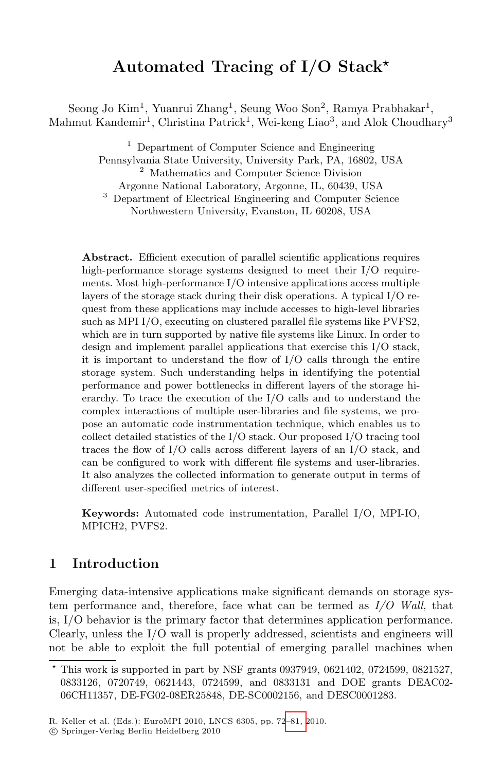# Automated Tracing of  $I/O$  Stack\*

Seong Jo Kim<sup>1</sup>, Yuanrui Zhang<sup>1</sup>, Seung Woo Son<sup>2</sup>, Ramya Prabhakar<sup>1</sup>, Mahmut Kandemir<sup>1</sup>, Christina Patrick<sup>1</sup>, Wei-keng Liao<sup>3</sup>, and Alok Choudhary<sup>3</sup>

<sup>1</sup> Department of Computer Science and Engineering

Pennsylvania State University, University Park, PA, 16802, USA <sup>2</sup> Mathematics and Computer Science Division

Argonne National Laboratory, Argonne, IL, 60439, USA

<sup>3</sup> Department of Electrical Engineering and Computer Science Northwestern University, Evanston, IL 60208, USA

Abstract. Efficient execution of parallel scientific applications requires high-performance storage systems designed to meet their I/O requirements. Most high-performance I/O intensive applications access multiple layers of the storage stack during their disk operations. A typical I/O request from these applications may include accesses to high-level libraries such as MPI I/O, executing on clustered parallel file systems like PVFS2, which are in turn supported by native file systems like Linux. In order to design and implement parallel applications that exercise this I/O stack, it is important to understand the flow of I/O calls through the entire storage system. Such understanding helps in identifying the potential performance and power bottlenecks in different layers of the storage hierarchy. To trace the execution of the I/O calls and to understand the complex interactions of multiple user-libraries and file systems, we propose an automatic code instrumentation technique, which enables us to collect detailed statistics of the I/O stack. Our proposed I/O tracing tool traces the flow of I/O calls across different layers of an I/O stack, and can be configured to work with different file systems and user-libraries. It also analyzes the collected information to generate output in terms of different user-specified metrics of interest.

Keywords: Automated code instrumentation, Parallel I/O, MPI-IO, MPICH2, PVFS2.

### 1 Introduction

Emerging data-intensive applications make significant demands on storage system performance and, therefore, face what can be termed as I/O Wall, that is, I/O behavior is the primary factor that determines application performance. Clearly, unless the I/O wall is properly addressed, scientists and engineers will not be able to exploit the full potential of emerging parallel machines when

 $*$  This work is supported in part by NSF grants 0937949, 0621402, 0724599, 0821527, 0833126, 0720749, 0621443, 0724599, and 0833131 and DOE grants DEAC02- 06CH11357, DE-FG02-08ER25848, DE-SC0002156, and DESC0001283.

R. Keller et al. (Eds.): EuroMPI 2010, LNCS 6305, pp. 7[2–81, 2](#page-9-0)010.

<sup>!</sup>c Springer-Verlag Berlin Heidelberg 2010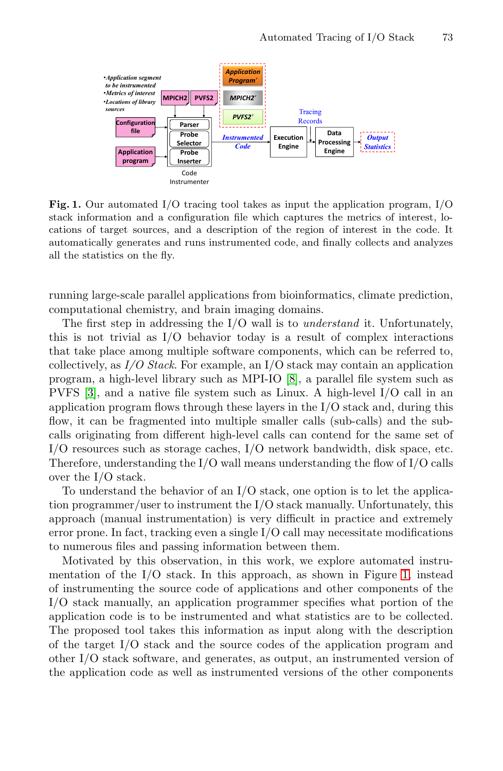<span id="page-1-0"></span>

Fig. 1. Our automated I/O tracing tool takes as input the application program, I/O stack information and a configuration file which captures the metrics of interest, locations of target sources, and a description of the region of interest in the code. It automatically generates and runs instrumented code, and finally collects and analyzes all the statistics on the fly.

running large-scale parallel applications from bioinformatics, climate prediction, computational chemistry, and brain imaging domains.

The first step in addressing the I/O wall is to understand it. Unfortunately, this is not trivial as I/O behavior today is a result of complex interactions that take place among multiple software components, which can be referred to, collectively, as I/O Stack. For example, an I/O stack may contain an application program, a high-level library such as MPI-IO [\[8\]](#page-9-1), a parallel file system such as PVFS [\[3\]](#page-8-0), and a native file system such as Linux. A high-level I/O call in an application program flows through these layers in the I/O stack and, during this flow, it can be fragmented into multiple smaller calls (sub-calls) and the subcalls originating from different high-level calls can contend for the same set of I/O resources such as storage caches, I/O network bandwidth, disk space, etc. Therefore, understanding the  $I/O$  wall means understanding the flow of  $I/O$  calls over the I/O stack.

To understand the behavior of an I/O stack, one option is to let the application programmer/user to instrument the I/O stack manually. Unfortunately, this approach (manual instrumentation) is very difficult in practice and extremely error prone. In fact, tracking even a single  $I/O$  call may necessitate modifications to numerous files and passing information between them.

Motivated by this observation, in this work, we explore automated instrumentation of the  $I/O$  stack. In this approach, as shown in Figure [1,](#page-1-0) instead of instrumenting the source code of applications and other components of the I/O stack manually, an application programmer specifies what portion of the application code is to be instrumented and what statistics are to be collected. The proposed tool takes this information as input along with the description of the target I/O stack and the source codes of the application program and other I/O stack software, and generates, as output, an instrumented version of the application code as well as instrumented versions of the other components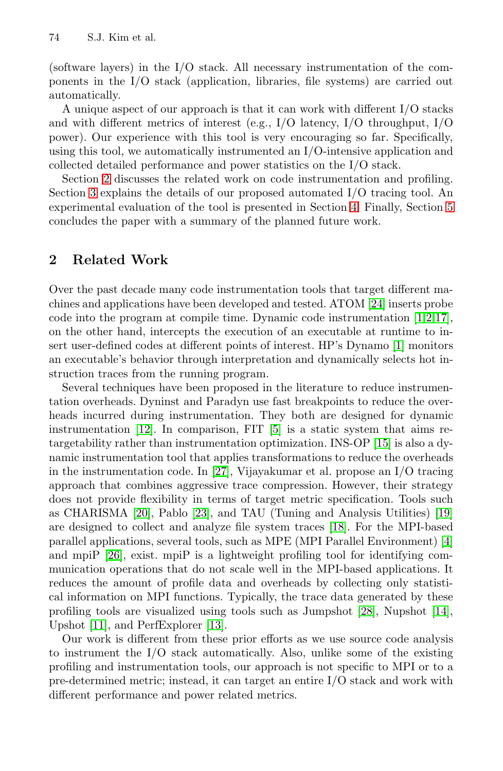(software layers) in the I/O stack. All necessary instrumentation of the components in the I/O stack (application, libraries, file systems) are carried out automatically.

<span id="page-2-0"></span>A unique aspect of our approach is that it can work with different I/O stacks and with different metrics of interest (e.g., I/O latency, I/O throughput, I/O power). Our experience with this tool is very encouraging so far. Specifically, using this tool, we automatically instrumented an I/O-intensive application and collected detailed performance and power statistics on the I/O stack.

Section [2](#page-2-0) discusses the related work on code instrumentation and profiling. Section [3](#page-3-0) explains the details of our proposed automated I/O tracing tool. An experimental evaluation of the tool is presented in Section [4.](#page-6-0) Finally, Section [5](#page-8-1) concludes the paper with a summary of the planned future work.

### 2 Related Work

Over the past decade many code instrumentation tools that target different machines and applications have been developed and tested. ATOM [\[24\]](#page-9-2) inserts probe code into the program at compile time. Dynamic code instrumentation [\[1](#page-8-2)[,2](#page-8-3)[,17\]](#page-9-3), on the other hand, intercepts the execution of an executable at runtime to insert user-defined codes at different points of interest. HP's Dynamo [\[1\]](#page-8-2) monitors an executable's behavior through interpretation and dynamically selects hot instruction traces from the running program.

Several techniques have been proposed in the literature to reduce instrumentation overheads. Dyninst and Paradyn use fast breakpoints to reduce the overheads incurred during instrumentation. They both are designed for dynamic instrumentation  $[12]$ . In comparison, FIT  $[5]$  is a static system that aims retargetability rather than instrumentation optimization. INS-OP [\[15\]](#page-9-6) is also a dynamic instrumentation tool that applies transformations to reduce the overheads in the instrumentation code. In [\[27\]](#page-9-7), Vijayakumar et al. propose an I/O tracing approach that combines aggressive trace compression. However, their strategy does not provide flexibility in terms of target metric specification. Tools such as CHARISMA [\[20\]](#page-9-8), Pablo [\[23\]](#page-9-9), and TAU (Tuning and Analysis Utilities) [\[19\]](#page-9-10) are designed to collect and analyze file system traces [\[18\]](#page-9-11). For the MPI-based parallel applications, several tools, such as MPE (MPI Parallel Environment) [\[4\]](#page-8-4) and mpiP [\[26\]](#page-9-12), exist. mpiP is a lightweight profiling tool for identifying communication operations that do not scale well in the MPI-based applications. It reduces the amount of profile data and overheads by collecting only statistical information on MPI functions. Typically, the trace data generated by these profiling tools are visualized using tools such as Jumpshot [\[28\]](#page-9-13), Nupshot [\[14\]](#page-9-14), Upshot [\[11\]](#page-9-15), and PerfExplorer [\[13\]](#page-9-16).

Our work is different from these prior efforts as we use source code analysis to instrument the I/O stack automatically. Also, unlike some of the existing profiling and instrumentation tools, our approach is not specific to MPI or to a pre-determined metric; instead, it can target an entire I/O stack and work with different performance and power related metrics.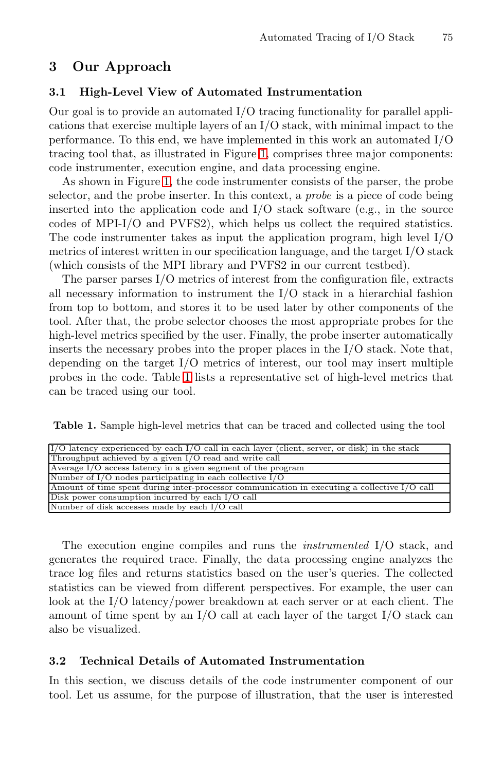### <span id="page-3-0"></span>3 Our Approach

#### 3.1 High-Level View of Automated Instrumentation

Our goal is to provide an automated I/O tracing functionality for parallel applications that exercise multiple layers of an I/O stack, with minimal impact to the performance. To this end, we have implemented in this work an automated I/O tracing tool that, as illustrated in Figure [1,](#page-1-0) comprises three major components: code instrumenter, execution engine, and data processing engine.

As shown in Figure [1,](#page-1-0) the code instrumenter consists of the parser, the probe selector, and the probe inserter. In this context, a probe is a piece of code being inserted into the application code and I/O stack software (e.g., in the source codes of MPI-I/O and PVFS2), which helps us collect the required statistics. The code instrumenter takes as input the application program, high level I/O metrics of interest written in our specification language, and the target I/O stack (which consists of the MPI library and PVFS2 in our current testbed).

<span id="page-3-1"></span>The parser parses I/O metrics of interest from the configuration file, extracts all necessary information to instrument the  $I/O$  stack in a hierarchial fashion from top to bottom, and stores it to be used later by other components of the tool. After that, the probe selector chooses the most appropriate probes for the high-level metrics specified by the user. Finally, the probe inserter automatically inserts the necessary probes into the proper places in the I/O stack. Note that, depending on the target I/O metrics of interest, our tool may insert multiple probes in the code. Table [1](#page-3-1) lists a representative set of high-level metrics that can be traced using our tool.

Table 1. Sample high-level metrics that can be traced and collected using the tool

| I/O latency experienced by each I/O call in each layer (client, server, or disk) in the stack  |
|------------------------------------------------------------------------------------------------|
| Throughput achieved by a given I/O read and write call                                         |
| Average I/O access latency in a given segment of the program                                   |
| Number of $I/O$ nodes participating in each collective $I/O$                                   |
| Amount of time spent during inter-processor communication in executing a collective $I/O$ call |
| Disk power consumption incurred by each I/O call                                               |
| Number of disk accesses made by each I/O call                                                  |

The execution engine compiles and runs the instrumented I/O stack, and generates the required trace. Finally, the data processing engine analyzes the trace log files and returns statistics based on the user's queries. The collected statistics can be viewed from different perspectives. For example, the user can look at the I/O latency/power breakdown at each server or at each client. The amount of time spent by an  $I/O$  call at each layer of the target  $I/O$  stack can also be visualized.

#### 3.2 Technical Details of Automated Instrumentation

In this section, we discuss details of the code instrumenter component of our tool. Let us assume, for the purpose of illustration, that the user is interested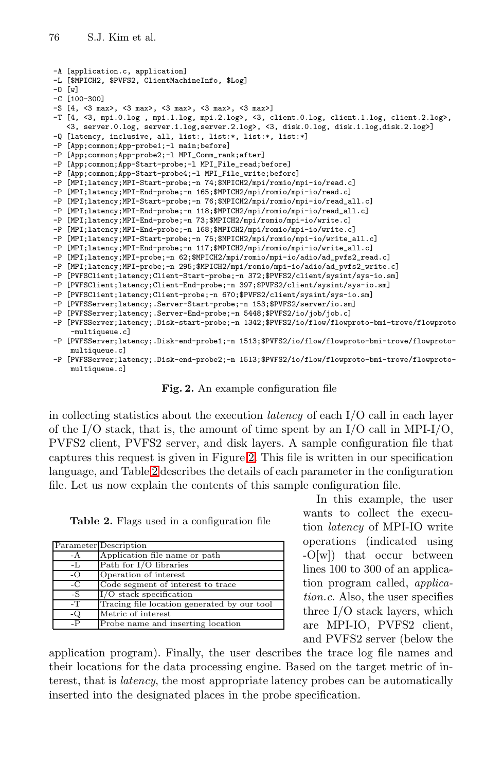```
-A [application.c, application]
-L [$MPICH2, $PVFS2, ClientMachineInfo, $Log]
-O [w]
-C [100-300]
-S [4, <3 max>, <3 max>, <3 max>, <3 max>, <3 max>]
-T [4, <3, mpi.0.log , mpi.1.log, mpi.2.log>, <3, client.0.log, client.1.log, client.2.log>,
   <3, server.0.log, server.1.log,server.2.log>, <3, disk.0.log, disk.1.log,disk.2.log>]
-Q [latency, inclusive, all, list:, list:*, list:*, list:*]
-P [App;common;App-probe1;-l main;before]
-P [App;common;App-probe2;-l MPI_Comm_rank;after]
-P [App;common;App-Start-probe;-l MPI_File_read;before]
-P [App;common;App-Start-probe4;-l MPI_File_write;before]
-P [MPI;latency;MPI-Start-probe;-n 74;$MPICH2/mpi/romio/mpi-io/read.c]
-P [MPI;latency;MPI-End-probe;-n 165; $MPICH2/mpi/romio/mpi-io/read.c]
-P [MPI;latency;MPI-Start-probe;-n 76;$MPICH2/mpi/romio/mpi-io/read_all.c]
-P [MPI;latency;MPI-End-probe;-n 118;$MPICH2/mpi/romio/mpi-io/read_all.c]
-P [MPI;latency;MPI-End-probe;-n 73;$MPICH2/mpi/romio/mpi-io/write.c]
-P [MPI;latency;MPI-End-probe;-n 168;$MPICH2/mpi/romio/mpi-io/write.c]
-P [MPI;latency;MPI-Start-probe;-n 75;$MPICH2/mpi/romio/mpi-io/write_all.c]
-P [MPI;latency;MPI-End-probe;-n 117;$MPICH2/mpi/romio/mpi-io/write_all.c]
-P [MPI;latency;MPI-probe;-n 62;$MPICH2/mpi/romio/mpi-io/adio/ad_pvfs2_read.c]
-P [MPI;latency;MPI-probe;-n 295;$MPICH2/mpi/romio/mpi-io/adio/ad_pvfs2_write.c]
-P [PVFSClient;latency;Client-Start-probe;-n 372;$PVFS2/client/sysint/sys-io.sm]
-P [PVFSClient;latency;Client-End-probe;-n 397;$PVFS2/client/sysint/sys-io.sm]
-P [PVFSClient;latency;Client-probe;-n 670;$PVFS2/client/sysint/sys-io.sm]
-P [PVFSServer;latency;.Server-Start-probe;-n 153;$PVFS2/server/io.sm]
-P [PVFSServer;latency;.Server-End-probe;-n 5448;$PVFS2/io/job/job.c]
-P [PVFSServer;latency;.Disk-start-probe;-n 1342;$PVFS2/io/flow/flowproto-bmi-trove/flowproto
    -multiqueue.c]
-P [PVFSServer;latency;.Disk-end-probe1;-n 1513;$PVFS2/io/flow/flowproto-bmi-trove/flowproto-
   multiqueue.c]
-P [PVFSServer;latency;.Disk-end-probe2;-n 1513;$PVFS2/io/flow/flowproto-bmi-trove/flowproto-
```
multiqueue.c]

<span id="page-4-1"></span><span id="page-4-0"></span>

|  |  |  | Fig. 2. An example configuration file |  |
|--|--|--|---------------------------------------|--|
|--|--|--|---------------------------------------|--|

in collecting statistics about the execution latency of each I/O call in each layer of the I/O stack, that is, the amount of time spent by an I/O call in MPI-I/O. PVFS2 client, PVFS2 server, and disk layers. A sample configuration file that captures this request is given in Figure [2.](#page-4-0) This file is written in our specification language, and Table [2](#page-4-1) describes the details of each parameter in the configuration file. Let us now explain the contents of this sample configuration file.

Table 2. Flags used in a configuration file

|            | Parameter Description                       |
|------------|---------------------------------------------|
| $-A$       | Application file name or path               |
| -L         | Path for I/O libraries                      |
| $-\Omega$  | Operation of interest                       |
| $-C$       | Code segment of interest to trace           |
| $-S$       | $I/O$ stack specification                   |
| -ፐ         | Tracing file location generated by our tool |
| -Q         | Metric of interest                          |
| $-{\bf P}$ | Probe name and inserting location           |
|            |                                             |

In this example, the user wants to collect the execution latency of MPI-IO write operations (indicated using -O[w]) that occur between lines 100 to 300 of an application program called, application.c. Also, the user specifies three I/O stack layers, which are MPI-IO, PVFS2 client, and PVFS2 server (below the

application program). Finally, the user describes the trace log file names and their locations for the data processing engine. Based on the target metric of interest, that is latency, the most appropriate latency probes can be automatically inserted into the designated places in the probe specification.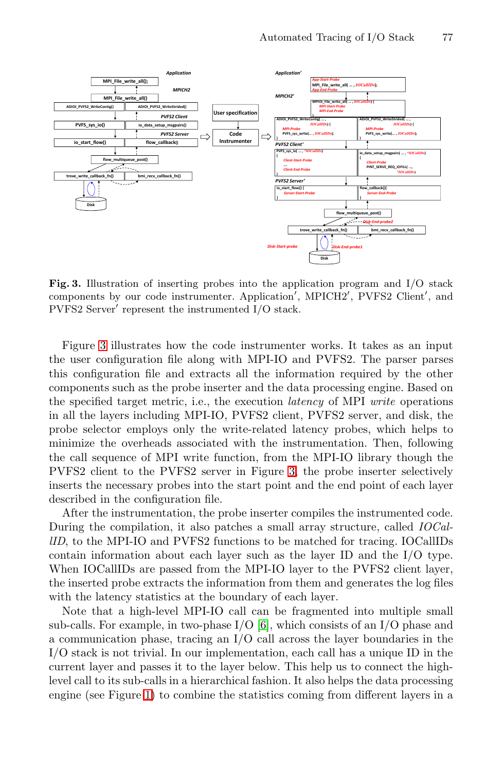

<span id="page-5-0"></span>Fig. 3. Illustration of inserting probes into the application program and I/O stack components by our code instrumenter. Application', MPICH2', PVFS2 Client', and PVFS2 Server' represent the instrumented  $I/O$  stack.

Figure [3](#page-5-0) illustrates how the code instrumenter works. It takes as an input the user configuration file along with MPI-IO and PVFS2. The parser parses this configuration file and extracts all the information required by the other components such as the probe inserter and the data processing engine. Based on the specified target metric, i.e., the execution *latency* of MPI write operations in all the layers including MPI-IO, PVFS2 client, PVFS2 server, and disk, the probe selector employs only the write-related latency probes, which helps to minimize the overheads associated with the instrumentation. Then, following the call sequence of MPI write function, from the MPI-IO library though the PVFS2 client to the PVFS2 server in Figure [3,](#page-5-0) the probe inserter selectively inserts the necessary probes into the start point and the end point of each layer described in the configuration file.

After the instrumentation, the probe inserter compiles the instrumented code. During the compilation, it also patches a small array structure, called IOCallID, to the MPI-IO and PVFS2 functions to be matched for tracing. IOCallIDs contain information about each layer such as the layer ID and the I/O type. When IOCallIDs are passed from the MPI-IO layer to the PVFS2 client layer, the inserted probe extracts the information from them and generates the log files with the latency statistics at the boundary of each layer.

Note that a high-level MPI-IO call can be fragmented into multiple small sub-calls. For example, in two-phase  $I/O$  [\[6\]](#page-9-17), which consists of an  $I/O$  phase and a communication phase, tracing an I/O call across the layer boundaries in the I/O stack is not trivial. In our implementation, each call has a unique ID in the current layer and passes it to the layer below. This help us to connect the highlevel call to its sub-calls in a hierarchical fashion. It also helps the data processing engine (see Figure [1\)](#page-1-0) to combine the statistics coming from different layers in a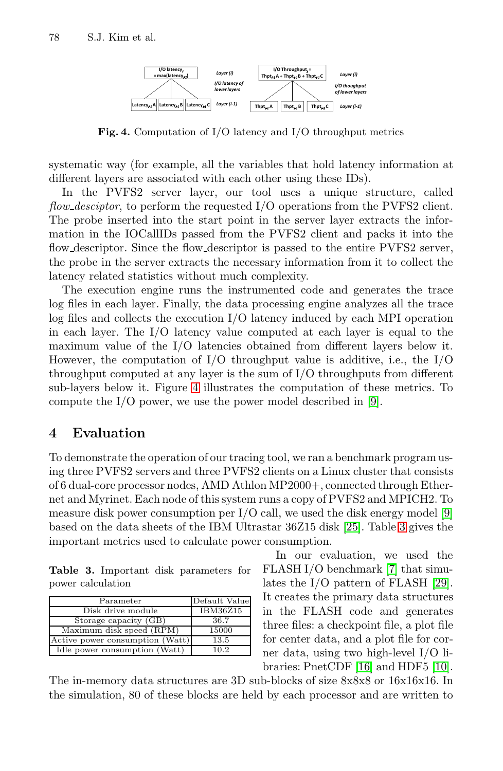<span id="page-6-1"></span>

Fig. 4. Computation of I/O latency and I/O throughput metrics

systematic way (for example, all the variables that hold latency information at different layers are associated with each other using these IDs).

In the PVFS2 server layer, our tool uses a unique structure, called flow desciptor, to perform the requested I/O operations from the PVFS2 client. The probe inserted into the start point in the server layer extracts the information in the IOCallIDs passed from the PVFS2 client and packs it into the flow descriptor. Since the flow descriptor is passed to the entire PVFS2 server, the probe in the server extracts the necessary information from it to collect the latency related statistics without much complexity.

<span id="page-6-0"></span>The execution engine runs the instrumented code and generates the trace log files in each layer. Finally, the data processing engine analyzes all the trace log files and collects the execution I/O latency induced by each MPI operation in each layer. The I/O latency value computed at each layer is equal to the maximum value of the I/O latencies obtained from different layers below it. However, the computation of  $I/O$  throughput value is additive, i.e., the  $I/O$ throughput computed at any layer is the sum of I/O throughputs from different sub-layers below it. Figure [4](#page-6-1) illustrates the computation of these metrics. To compute the I/O power, we use the power model described in [\[9\]](#page-9-18).

# 4 Evaluation

<span id="page-6-2"></span>To demonstrate the operation of our tracing tool, we ran a benchmark program using three PVFS2 servers and three PVFS2 clients on a Linux cluster that consists of 6 dual-core processor nodes, AMD Athlon MP2000+, connected through Ethernet and Myrinet. Each node of this system runs a copy of PVFS2 and MPICH2. To measure disk power consumption per  $I/O$  call, we used the disk energy model [\[9\]](#page-9-18) based on the data sheets of the IBM Ultrastar 36Z15 disk [\[25\]](#page-9-19). Table [3](#page-6-2) gives the important metrics used to calculate power consumption.

Table 3. Important disk parameters for power calculation

| Parameter                       | Default Value |
|---------------------------------|---------------|
| Disk drive module               | IBM36Z15      |
| Storage capacity (GB)           | 36.7          |
| Maximum disk speed (RPM)        | 15000         |
| Active power consumption (Watt) | 13.5          |
| Idle power consumption (Watt)   | 10.2          |

In our evaluation, we used the FLASH I/O benchmark [\[7\]](#page-9-20) that simulates the I/O pattern of FLASH [\[29\]](#page-9-21). It creates the primary data structures in the FLASH code and generates three files: a checkpoint file, a plot file for center data, and a plot file for corner data, using two high-level I/O libraries: PnetCDF [\[16\]](#page-9-22) and HDF5 [\[10\]](#page-9-23).

The in-memory data structures are 3D sub-blocks of size 8x8x8 or 16x16x16. In the simulation, 80 of these blocks are held by each processor and are written to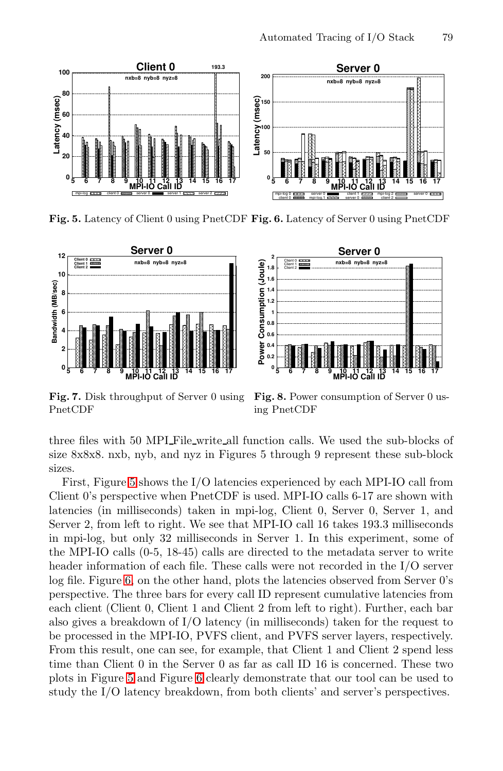<span id="page-7-0"></span>

Fig. 5. Latency of Client 0 using PnetCDF Fig. 6. Latency of Server 0 using PnetCDF

<span id="page-7-2"></span>

<span id="page-7-3"></span><span id="page-7-1"></span>

Fig. 7. Disk throughput of Server 0 using PnetCDF

Fig. 8. Power consumption of Server 0 using PnetCDF

three files with 50 MPI File write all function calls. We used the sub-blocks of size 8x8x8. nxb, nyb, and nyz in Figures 5 through 9 represent these sub-block sizes.

First, Figure [5](#page-7-0) shows the I/O latencies experienced by each MPI-IO call from Client 0's perspective when PnetCDF is used. MPI-IO calls 6-17 are shown with latencies (in milliseconds) taken in mpi-log, Client 0, Server 0, Server 1, and Server 2, from left to right. We see that MPI-IO call 16 takes 193.3 milliseconds in mpi-log, but only 32 milliseconds in Server 1. In this experiment, some of the MPI-IO calls (0-5, 18-45) calls are directed to the metadata server to write header information of each file. These calls were not recorded in the I/O server log file. Figure [6,](#page-7-1) on the other hand, plots the latencies observed from Server 0's perspective. The three bars for every call ID represent cumulative latencies from each client (Client 0, Client 1 and Client 2 from left to right). Further, each bar also gives a breakdown of I/O latency (in milliseconds) taken for the request to be processed in the MPI-IO, PVFS client, and PVFS server layers, respectively. From this result, one can see, for example, that Client 1 and Client 2 spend less time than Client 0 in the Server 0 as far as call ID 16 is concerned. These two plots in Figure [5](#page-7-0) and Figure [6](#page-7-1) clearly demonstrate that our tool can be used to study the I/O latency breakdown, from both clients' and server's perspectives.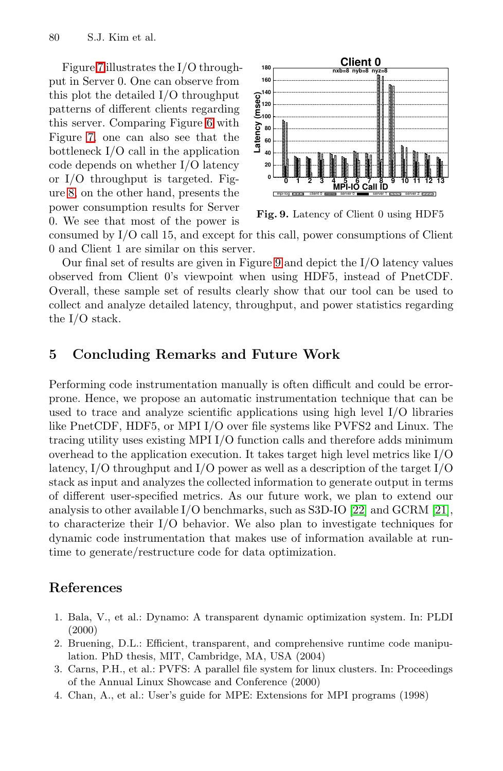Figure [7](#page-7-2) illustrates the I/O throughput in Server 0. One can observe from this plot the detailed I/O throughput patterns of different clients regarding this server. Comparing Figure [6](#page-7-1) with Figure [7,](#page-7-2) one can also see that the bottleneck I/O call in the application code depends on whether I/O latency or I/O throughput is targeted. Figure [8,](#page-7-3) on the other hand, presents the power consumption results for Server 0. We see that most of the power is

<span id="page-8-5"></span>

Fig. 9. Latency of Client 0 using HDF5

<span id="page-8-1"></span>consumed by I/O call 15, and except for this call, power consumptions of Client 0 and Client 1 are similar on this server.

Our final set of results are given in Figure [9](#page-8-5) and depict the I/O latency values observed from Client 0's viewpoint when using HDF5, instead of PnetCDF. Overall, these sample set of results clearly show that our tool can be used to collect and analyze detailed latency, throughput, and power statistics regarding the I/O stack.

## 5 Concluding Remarks and Future Work

Performing code instrumentation manually is often difficult and could be errorprone. Hence, we propose an automatic instrumentation technique that can be used to trace and analyze scientific applications using high level I/O libraries like PnetCDF, HDF5, or MPI I/O over file systems like PVFS2 and Linux. The tracing utility uses existing MPI I/O function calls and therefore adds minimum overhead to the application execution. It takes target high level metrics like I/O latency, I/O throughput and I/O power as well as a description of the target I/O stack as input and analyzes the collected information to generate output in terms of different user-specified metrics. As our future work, we plan to extend our analysis to other available I/O benchmarks, such as S3D-IO [\[22\]](#page-9-24) and GCRM [\[21\]](#page-9-25), to characterize their I/O behavior. We also plan to investigate techniques for dynamic code instrumentation that makes use of information available at runtime to generate/restructure code for data optimization.

# <span id="page-8-4"></span><span id="page-8-3"></span><span id="page-8-2"></span><span id="page-8-0"></span>References

- 1. Bala, V., et al.: Dynamo: A transparent dynamic optimization system. In: PLDI (2000)
- 2. Bruening, D.L.: Efficient, transparent, and comprehensive runtime code manipulation. PhD thesis, MIT, Cambridge, MA, USA (2004)
- 3. Carns, P.H., et al.: PVFS: A parallel file system for linux clusters. In: Proceedings of the Annual Linux Showcase and Conference (2000)
- 4. Chan, A., et al.: User's guide for MPE: Extensions for MPI programs (1998)